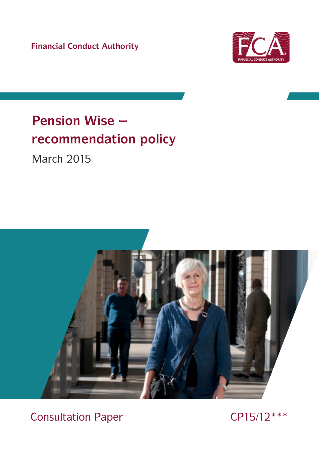**Financial Conduct Authority**



# **Pension Wise – recommendation policy**

March 2015



 $\overline{\mathcal{C}}$  construction Paper CPX  $\overline{\mathcal{C}}$ Consultation Paper CP15/12 \*\*\*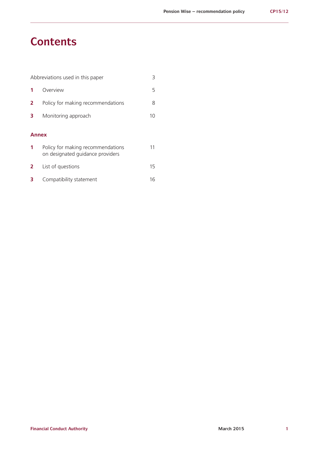# **Contents**

|   | Abbreviations used in this paper                                      | 3  |
|---|-----------------------------------------------------------------------|----|
|   | Overview                                                              | 5  |
| 2 | Policy for making recommendations                                     | 8  |
| з | Monitoring approach                                                   | 10 |
|   | Annex                                                                 |    |
| 1 | Policy for making recommendations<br>on designated guidance providers | 11 |
| 2 | List of questions                                                     | 15 |
| 3 | Compatibility statement                                               | 16 |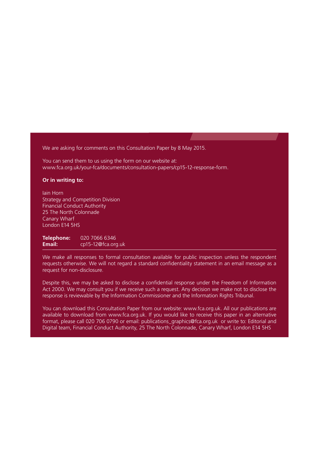We are asking for comments on this Consultation Paper by 8 May 2015.

You can send them to us using the form on our website at: [www.fca.org.uk/your-fca/documents/consultation-papers/cp15-12-response-form.](http://www.fca.org.uk/your-fca/documents/consultation-papers/cp15-12-response-form)

#### **Or in writing to:**

Iain Horn Strategy and Competition Division Financial Conduct Authority 25 The North Colonnade Canary Wharf London E14 5HS

**Telephone:** 020 7066 6346<br>**Email:** cp15-12@fca.org **Email:** [cp15-12@fca.org.uk](mailto:cp15-12@fca.org.uk)

We make all responses to formal consultation available for public inspection unless the respondent requests otherwise. We will not regard a standard confidentiality statement in an email message as a request for non-disclosure.

Despite this, we may be asked to disclose a confidential response under the Freedom of Information Act 2000. We may consult you if we receive such a request. Any decision we make not to disclose the response is reviewable by the Information Commissioner and the Information Rights Tribunal.

You can download this Consultation Paper from our website: www.fca.org.uk. All our publications are available to download from www.fca.org.uk. If you would like to receive this paper in an alternative format, please call 020 706 0790 or email: publications\_graphics@fca.org.uk or write to: Editorial and Digital team, Financial Conduct Authority, 25 The North Colonnade, Canary Wharf, London E14 5HS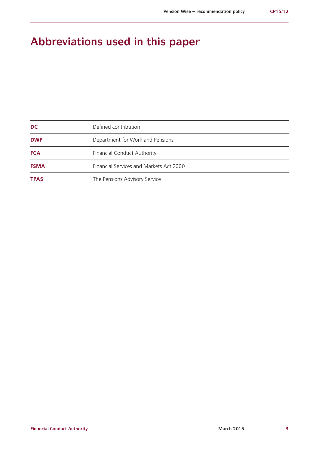# **Abbreviations used in this paper**

| <b>DC</b>   | Defined contribution                    |
|-------------|-----------------------------------------|
| <b>DWP</b>  | Department for Work and Pensions        |
| <b>FCA</b>  | <b>Financial Conduct Authority</b>      |
| <b>FSMA</b> | Financial Services and Markets Act 2000 |
| <b>TPAS</b> | The Pensions Advisory Service           |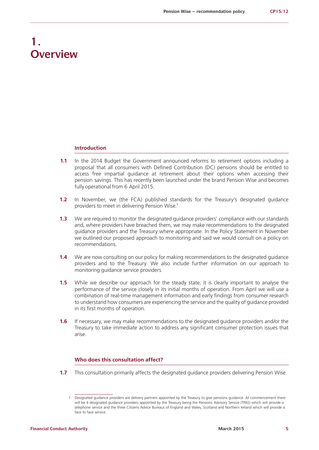# **1. Overview**

#### **Introduction**

- **1.1** In the 2014 Budget the Government announced reforms to retirement options including a proposal that all consumers with Defined Contribution (DC) pensions should be entitled to access free impartial guidance at retirement about their options when accessing their pension savings. This has recently been launched under the brand Pension Wise and becomes fully operational from 6 April 2015.
- **1.2** In November, we (the FCA) published standards for the Treasury's designated guidance providers to meet in delivering Pension Wise.1
- **1.3** We are required to monitor the designated guidance providers' compliance with our standards and, where providers have breached them, we may make recommendations to the designated guidance providers and the Treasury where appropriate. In the Policy Statement in November we outlined our proposed approach to monitoring and said we would consult on a policy on recommendations.
- **1.4** We are now consulting on our policy for making recommendations to the designated guidance providers and to the Treasury. We also include further information on our approach to monitoring guidance service providers.
- **1.5** While we describe our approach for the steady state, it is clearly important to analyse the performance of the service closely in its initial months of operation. From April we will use a combination of real-time management information and early findings from consumer research to understand how consumers are experiencing the service and the quality of guidance provided in its first months of operation.
- **1.6** If necessary, we may make recommendations to the designated guidance providers and/or the Treasury to take immediate action to address any significant consumer protection issues that arise.

#### **Who does this consultation affect?**

**1.7** This consultation primarily affects the designated guidance providers delivering Pension Wise.

<sup>1</sup> Designated guidance providers are delivery partners appointed by the Treasury to give pensions guidance. At commencement there will be 4 designated guidance providers appointed by the Treasury being the Pensions Advisory Service (TPAS) which will provide a telephone service and the three Citizens Advice Bureaus of England and Wales, Scotland and Northern Ireland which will provide a face to face service.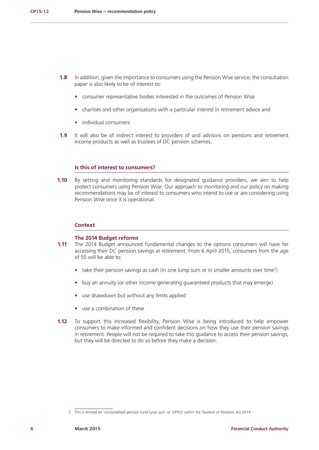- **1.8** In addition, given the importance to consumers using the Pension Wise service, the consultation paper is also likely to be of interest to:
	- **•** consumer representative bodies interested in the outcomes of Pension Wise
	- **•** charities and other organisations with a particular interest in retirement advice and
	- **•** individual consumers
- **1.9** It will also be of indirect interest to providers of and advisors on pensions and retirement income products as well as trustees of DC pension schemes.

#### **Is this of interest to consumers?**

**1.10** By setting and monitoring standards for designated guidance providers, we aim to help protect consumers using Pension Wise. Our approach to monitoring and our policy on making recommendations may be of interest to consumers who intend to use or are considering using Pension Wise once it is operational.

#### **Context**

#### **The 2014 Budget reforms**

- **1.11** The 2014 Budget announced fundamental changes to the options consumers will have for accessing their DC pension savings at retirement. From 6 April 2015, consumers from the age of 55 will be able to:
	- take their pension savings as cash (in one lump sum or in smaller amounts over time<sup>2</sup>)
	- **•** buy an annuity (or other income generating guaranteed products that may emerge)
	- **•** use drawdown but without any limits applied
	- **•** use a combination of these
- **1.12** To support this increased flexibility, Pension Wise is being introduced to help empower consumers to make informed and confident decisions on how they use their pension savings in retirement. People will not be required to take this guidance to access their pension savings, but they will be directed to do so before they make a decision.

<sup>2</sup> This is termed an 'uncrystallised pension fund lump sum' or 'UFPLS' within the Taxation of Pensions Act 2014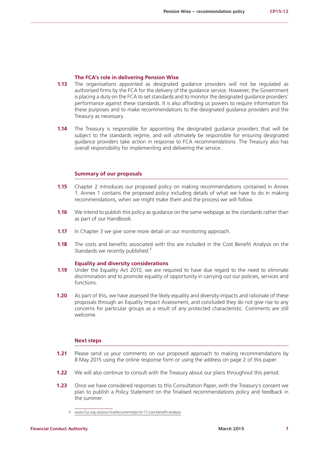#### **The FCA's role in delivering Pension Wise**

- **1.13** The organisations appointed as designated guidance providers will not be regulated as authorised firms by the FCA for the delivery of the guidance service. However, the Government is placing a duty on the FCA to set standards and to monitor the designated guidance providers' performance against these standards. It is also affording us powers to require information for these purposes and to make recommendations to the designated guidance providers and the Treasury as necessary.
- **1.14** The Treasury is responsible for appointing the designated guidance providers that will be subject to the standards regime, and will ultimately be responsible for ensuring designated guidance providers take action in response to FCA recommendations. The Treasury also has overall responsibility for implementing and delivering the service.

#### **Summary of our proposals**

- **1.15** Chapter 2 introduces our proposed policy on making recommendations contained in Annex 1. Annex 1 contains the proposed policy including details of what we have to do in making recommendations, when we might make them and the process we will follow.
- **1.16** We intend to publish this policy as guidance on the same webpage as the standards rather than as part of our Handbook.
- **1.17** In Chapter 3 we give some more detail on our monitoring approach.
- **1.18** The costs and benefits associated with this are included in the Cost Benefit Analysis on the Standards we recently published.<sup>3</sup>

#### **Equality and diversity considerations**

- **1.19** Under the Equality Act 2010, we are required to have due regard to the need to eliminate discrimination and to promote equality of opportunity in carrying out our policies, services and functions.
- **1.20** As part of this, we have assessed the likely equality and diversity impacts and rationale of these proposals through an Equality Impact Assessment, and concluded they do not give rise to any concerns for particular groups as a result of any protected characteristic. Comments are still welcome.

#### **Next steps**

- **1.21** Please send us your comments on our proposed approach to making recommendations by 8 May 2015 using the online response form or using the address on page 2 of this paper.
- **1.22** We will also continue to consult with the Treasury about our plans throughout this period.
- **1.23** Once we have considered responses to this Consultation Paper, with the Treasury's consent we plan to publish a Policy Statement on the finalised recommendations policy and feedback in the summer.
	- 3 www.fca.org.uk/your-fca/documents/ps14-17-cost-benefit-analysis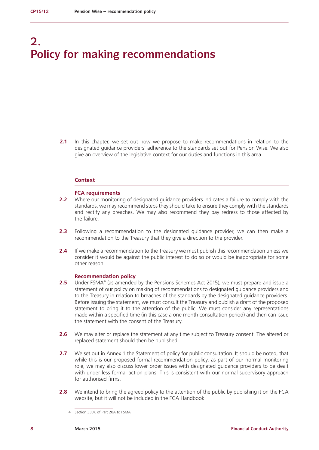# **2. Policy for making recommendations**

**2.1** In this chapter, we set out how we propose to make recommendations in relation to the designated guidance providers' adherence to the standards set out for Pension Wise. We also give an overview of the legislative context for our duties and functions in this area.

#### **Context**

#### **FCA requirements**

- **2.2** Where our monitoring of designated guidance providers indicates a failure to comply with the standards, we may recommend steps they should take to ensure they comply with the standards and rectify any breaches. We may also recommend they pay redress to those affected by the failure.
- **2.3** Following a recommendation to the designated guidance provider, we can then make a recommendation to the Treasury that they give a direction to the provider.
- **2.4** If we make a recommendation to the Treasury we must publish this recommendation unless we consider it would be against the public interest to do so or would be inappropriate for some other reason.

#### **Recommendation policy**

- **2.5** Under FSMA<sup>4</sup> (as amended by the Pensions Schemes Act 2015), we must prepare and issue a statement of our policy on making of recommendations to designated guidance providers and to the Treasury in relation to breaches of the standards by the designated guidance providers. Before issuing the statement, we must consult the Treasury and publish a draft of the proposed statement to bring it to the attention of the public. We must consider any representations made within a specified time (in this case a one month consultation period) and then can issue the statement with the consent of the Treasury.
- **2.6** We may alter or replace the statement at any time subject to Treasury consent. The altered or replaced statement should then be published.
- **2.7** We set out in Annex 1 the Statement of policy for public consultation. It should be noted, that while this is our proposed formal recommendation policy, as part of our normal monitoring role, we may also discuss lower order issues with designated guidance providers to be dealt with under less formal action plans. This is consistent with our normal supervisory approach for authorised firms.
- **2.8** We intend to bring the agreed policy to the attention of the public by publishing it on the FCA website, but it will not be included in the FCA Handbook.

<sup>4</sup> Section 333K of Part 20A to FSMA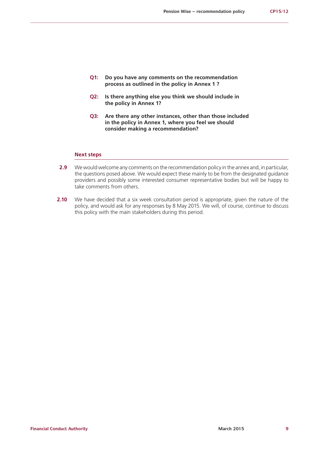- **Q1: Do you have any comments on the recommendation process as outlined in the policy in Annex 1 ?**
- **Q2: Is there anything else you think we should include in the policy in Annex 1?**
- **Q3: Are there any other instances, other than those included in the policy in Annex 1, where you feel we should consider making a recommendation?**

#### **Next steps**

- **2.9** We would welcome any comments on the recommendation policy in the annex and, in particular, the questions posed above. We would expect these mainly to be from the designated guidance providers and possibly some interested consumer representative bodies but will be happy to take comments from others.
- **2.10** We have decided that a six week consultation period is appropriate, given the nature of the policy, and would ask for any responses by 8 May 2015. We will, of course, continue to discuss this policy with the main stakeholders during this period.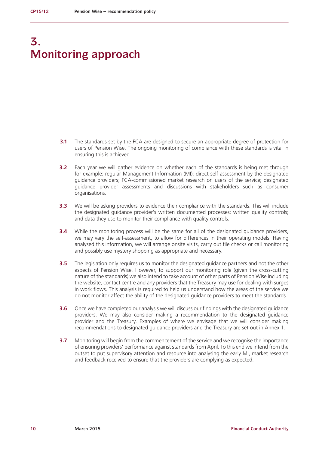# **3. Monitoring approach**

- **3.1** The standards set by the FCA are designed to secure an appropriate degree of protection for users of Pension Wise. The ongoing monitoring of compliance with these standards is vital in ensuring this is achieved.
- **3.2** Each year we will gather evidence on whether each of the standards is being met through for example: regular Management Information (MI); direct self-assessment by the designated guidance providers; FCA-commissioned market research on users of the service; designated guidance provider assessments and discussions with stakeholders such as consumer organisations.
- **3.3** We will be asking providers to evidence their compliance with the standards. This will include the designated guidance provider's written documented processes; written quality controls; and data they use to monitor their compliance with quality controls.
- **3.4** While the monitoring process will be the same for all of the designated guidance providers, we may vary the self-assessment, to allow for differences in their operating models. Having analysed this information, we will arrange onsite visits, carry out file checks or call monitoring and possibly use mystery shopping as appropriate and necessary.
- **3.5** The legislation only requires us to monitor the designated guidance partners and not the other aspects of Pension Wise. However, to support our monitoring role (given the cross-cutting nature of the standards) we also intend to take account of other parts of Pension Wise including the website, contact centre and any providers that the Treasury may use for dealing with surges in work flows. This analysis is required to help us understand how the areas of the service we do not monitor affect the ability of the designated guidance providers to meet the standards.
- **3.6** Once we have completed our analysis we will discuss our findings with the designated guidance providers. We may also consider making a recommendation to the designated guidance provider and the Treasury. Examples of where we envisage that we will consider making recommendations to designated guidance providers and the Treasury are set out in Annex 1.
- **3.7** Monitoring will begin from the commencement of the service and we recognise the importance of ensuring providers' performance against standards from April. To this end we intend from the outset to put supervisory attention and resource into analysing the early MI, market research and feedback received to ensure that the providers are complying as expected.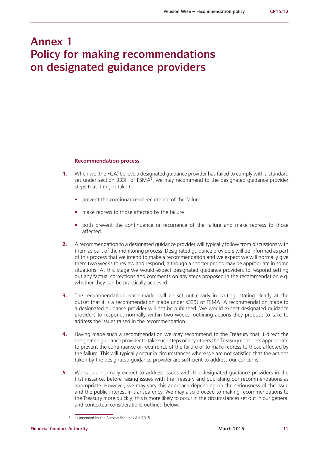# **Annex 1 Policy for making recommendations on designated guidance providers**

#### **Recommendation process**

- **1.** When we (the FCA) believe a designated guidance provider has failed to comply with a standard set under section 333H of FSMA<sup>5</sup>, we may recommend to the designated guidance provider steps that it might take to:
	- prevent the continuance or recurrence of the failure
	- **•** make redress to those affected by the failure
	- both prevent the continuance or recurrence of the failure and make redress to those affected.
- **2.** A recommendation to a designated guidance provider will typically follow from discussions with them as part of the monitoring process. Designated guidance providers will be informed as part of this process that we intend to make a recommendation and we expect we will normally give them two weeks to review and respond, although a shorter period may be appropriate in some situations. At this stage we would expect designated guidance providers to respond setting out any factual corrections and comments on any steps proposed in the recommendation e.g. whether they can be practically achieved.
- **3.** The recommendation, once made, will be set out clearly in writing, stating clearly at the outset that it is a recommendation made under s333J of FSMA. A recommendation made to a designated guidance provider will not be published. We would expect designated guidance providers to respond, normally within two weeks, outlining actions they propose to take to address the issues raised in the recommendation.
- **4.** Having made such a recommendation we may recommend to the Treasury that it direct the designated guidance provider to take such steps or any others the Treasury considers appropriate to prevent the continuance or recurrence of the failure or to make redress to those affected by the failure. This will typically occur in circumstances where we are not satisfied that the actions taken by the designated guidance provider are sufficient to address our concerns.
- **5.** We would normally expect to address issues with the designated guidance providers in the first instance, before raising issues with the Treasury and publishing our recommendations as appropriate. However, we may vary this approach depending on the seriousness of the issue and the public interest in transparency. We may also proceed to making recommendations to the Treasury more quickly; this is more likely to occur in the circumstances set out in our general and contextual considerations outlined below.

<sup>5</sup> as amended by the Pension Schemes Act 2015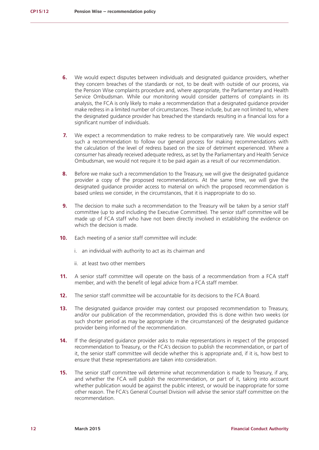- **6.** We would expect disputes between individuals and designated guidance providers, whether they concern breaches of the standards or not, to be dealt with outside of our process, via the Pension Wise complaints procedure and, where appropriate, the Parliamentary and Health Service Ombudsman. While our monitoring would consider patterns of complaints in its analysis, the FCA is only likely to make a recommendation that a designated guidance provider make redress in a limited number of circumstances. These include, but are not limited to, where the designated guidance provider has breached the standards resulting in a financial loss for a significant number of individuals.
- **7.** We expect a recommendation to make redress to be comparatively rare. We would expect such a recommendation to follow our general process for making recommendations with the calculation of the level of redress based on the size of detriment experienced. Where a consumer has already received adequate redress, as set by the Parliamentary and Health Service Ombudsman, we would not require it to be paid again as a result of our recommendation.
- **8.** Before we make such a recommendation to the Treasury, we will give the designated guidance provider a copy of the proposed recommendations. At the same time, we will give the designated guidance provider access to material on which the proposed recommendation is based unless we consider, in the circumstances, that it is inappropriate to do so.
- **9.** The decision to make such a recommendation to the Treasury will be taken by a senior staff committee (up to and including the Executive Committee). The senior staff committee will be made up of FCA staff who have not been directly involved in establishing the evidence on which the decision is made.
- **10.** Each meeting of a senior staff committee will include:
	- i. an individual with authority to act as its chairman and
	- ii. at least two other members
- **11.** A senior staff committee will operate on the basis of a recommendation from a FCA staff member, and with the benefit of legal advice from a FCA staff member.
- **12.** The senior staff committee will be accountable for its decisions to the FCA Board.
- **13.** The designated guidance provider may contest our proposed recommendation to Treasury, and/or our publication of the recommendation, provided this is done within two weeks (or such shorter period as may be appropriate in the circumstances) of the designated guidance provider being informed of the recommendation.
- **14.** If the designated guidance provider asks to make representations in respect of the proposed recommendation to Treasury, or the FCA's decision to publish the recommendation, or part of it, the senior staff committee will decide whether this is appropriate and, if it is, how best to ensure that these representations are taken into consideration.
- **15.** The senior staff committee will determine what recommendation is made to Treasury, if any, and whether the FCA will publish the recommendation, or part of it, taking into account whether publication would be against the public interest, or would be inappropriate for some other reason. The FCA's General Counsel Division will advise the senior staff committee on the recommendation.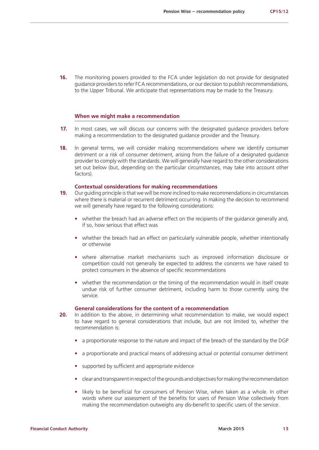**16.** The monitoring powers provided to the FCA under legislation do not provide for designated guidance providers to refer FCA recommendations, or our decision to publish recommendations, to the Upper Tribunal. We anticipate that representations may be made to the Treasury.

#### **When we might make a recommendation**

- **17.** In most cases, we will discuss our concerns with the designated guidance providers before making a recommendation to the designated guidance provider and the Treasury.
- **18.** In general terms, we will consider making recommendations where we identify consumer detriment or a risk of consumer detriment, arising from the failure of a designated guidance provider to comply with the standards. We will generally have regard to the other considerations set out below (but, depending on the particular circumstances, may take into account other factors).

#### **Contextual considerations for making recommendations**

- **19.** Our guiding principle is that we will be more inclined to make recommendations in circumstances where there is material or recurrent detriment occurring. In making the decision to recommend we will generally have regard to the following considerations:
	- whether the breach had an adverse effect on the recipients of the guidance generally and, if so, how serious that effect was
	- whether the breach had an effect on particularly vulnerable people, whether intentionally or otherwise
	- **•** where alternative market mechanisms such as improved information disclosure or competition could not generally be expected to address the concerns we have raised to protect consumers in the absence of specific recommendations
	- **•** whether the recommendation or the timing of the recommendation would in itself create undue risk of further consumer detriment, including harm to those currently using the service.

#### **General considerations for the content of a recommendation**

- **20.** In addition to the above, in determining what recommendation to make, we would expect to have regard to general considerations that include, but are not limited to, whether the recommendation is:
	- **•** a proportionate response to the nature and impact of the breach of the standard by the DGP
	- **•** a proportionate and practical means of addressing actual or potential consumer detriment
	- **•** supported by sufficient and appropriate evidence
	- **•** clear and transparent in respect of the grounds and objectives for making the recommendation
	- **•** likely to be beneficial for consumers of Pension Wise, when taken as a whole. In other words where our assessment of the benefits for users of Pension Wise collectively from making the recommendation outweighs any dis-benefit to specific users of the service.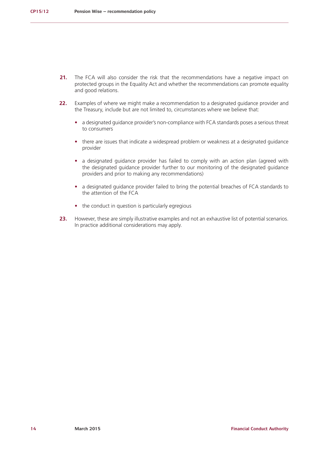- **21.** The FCA will also consider the risk that the recommendations have a negative impact on protected groups in the Equality Act and whether the recommendations can promote equality and good relations.
- **22.** Examples of where we might make a recommendation to a designated guidance provider and the Treasury, include but are not limited to, circumstances where we believe that:
	- **•** a designated guidance provider's non-compliance with FCA standards poses a serious threat to consumers
	- there are issues that indicate a widespread problem or weakness at a designated quidance provider
	- a designated guidance provider has failed to comply with an action plan (agreed with the designated guidance provider further to our monitoring of the designated guidance providers and prior to making any recommendations)
	- a designated guidance provider failed to bring the potential breaches of FCA standards to the attention of the FCA
	- the conduct in question is particularly egregious
- **23.** However, these are simply illustrative examples and not an exhaustive list of potential scenarios. In practice additional considerations may apply.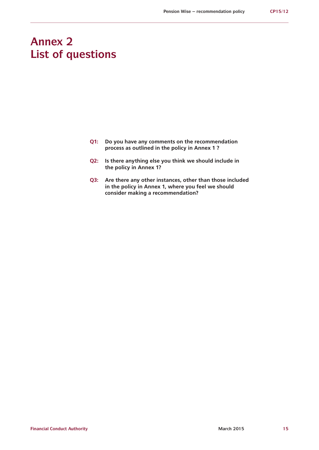# **Annex 2 List of questions**

- **Q1: Do you have any comments on the recommendation process as outlined in the policy in Annex 1 ?**
- **Q2: Is there anything else you think we should include in the policy in Annex 1?**
- **Q3: Are there any other instances, other than those included in the policy in Annex 1, where you feel we should consider making a recommendation?**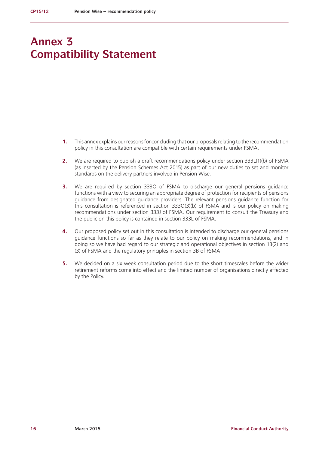# **Annex 3 Compatibility Statement**

- **1.** This annex explains our reasons for concluding that our proposals relating to the recommendation policy in this consultation are compatible with certain requirements under FSMA.
- **2.** We are required to publish a draft recommendations policy under section 333L(1)(b) of FSMA (as inserted by the Pension Schemes Act 2015) as part of our new duties to set and monitor standards on the delivery partners involved in Pension Wise.
- **3.** We are required by section 333O of FSMA to discharge our general pensions guidance functions with a view to securing an appropriate degree of protection for recipients of pensions guidance from designated guidance providers. The relevant pensions guidance function for this consultation is referenced in section 333O(3)(b) of FSMA and is our policy on making recommendations under section 333J of FSMA. Our requirement to consult the Treasury and the public on this policy is contained in section 333L of FSMA.
- **4.** Our proposed policy set out in this consultation is intended to discharge our general pensions guidance functions so far as they relate to our policy on making recommendations, and in doing so we have had regard to our strategic and operational objectives in section 1B(2) and (3) of FSMA and the regulatory principles in section 3B of FSMA.
- **5.** We decided on a six week consultation period due to the short timescales before the wider retirement reforms come into effect and the limited number of organisations directly affected by the Policy.